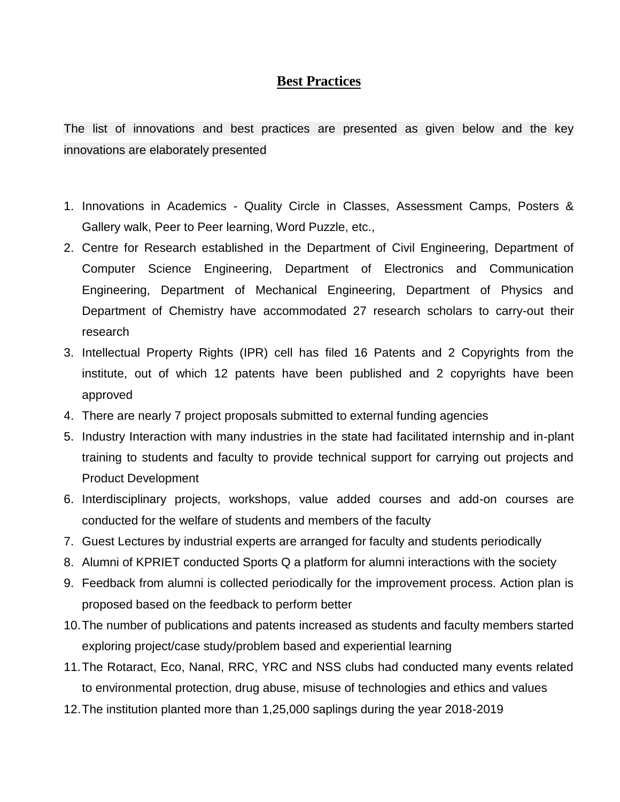## **Best Practices**

The list of innovations and best practices are presented as given below and the key innovations are elaborately presented

- 1. Innovations in Academics Quality Circle in Classes, Assessment Camps, Posters & Gallery walk, Peer to Peer learning, Word Puzzle, etc.,
- 2. Centre for Research established in the Department of Civil Engineering, Department of Computer Science Engineering, Department of Electronics and Communication Engineering, Department of Mechanical Engineering, Department of Physics and Department of Chemistry have accommodated 27 research scholars to carry-out their research
- 3. Intellectual Property Rights (IPR) cell has filed 16 Patents and 2 Copyrights from the institute, out of which 12 patents have been published and 2 copyrights have been approved
- 4. There are nearly 7 project proposals submitted to external funding agencies
- 5. Industry Interaction with many industries in the state had facilitated internship and in-plant training to students and faculty to provide technical support for carrying out projects and Product Development
- 6. Interdisciplinary projects, workshops, value added courses and add-on courses are conducted for the welfare of students and members of the faculty
- 7. Guest Lectures by industrial experts are arranged for faculty and students periodically
- 8. Alumni of KPRIET conducted Sports Q a platform for alumni interactions with the society
- 9. Feedback from alumni is collected periodically for the improvement process. Action plan is proposed based on the feedback to perform better
- 10.The number of publications and patents increased as students and faculty members started exploring project/case study/problem based and experiential learning
- 11.The Rotaract, Eco, Nanal, RRC, YRC and NSS clubs had conducted many events related to environmental protection, drug abuse, misuse of technologies and ethics and values
- 12.The institution planted more than 1,25,000 saplings during the year 2018-2019